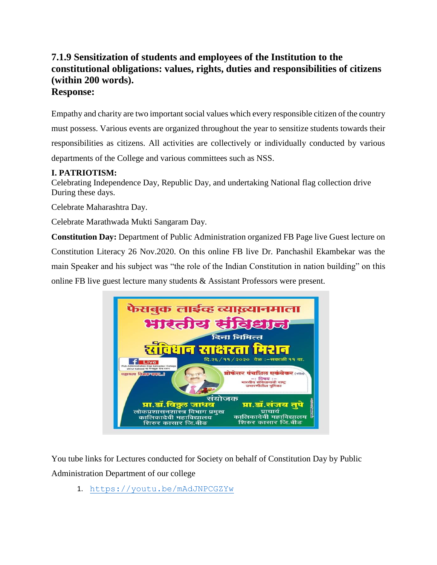## **7.1.9 Sensitization of students and employees of the Institution to the constitutional obligations: values, rights, duties and responsibilities of citizens (within 200 words). Response:**

Empathy and charity are two important social values which every responsible citizen of the country must possess. Various events are organized throughout the year to sensitize students towards their responsibilities as citizens. All activities are collectively or individually conducted by various departments of the College and various committees such as NSS.

## **I. PATRIOTISM:**

Celebrating Independence Day, Republic Day, and undertaking National flag collection drive During these days.

Celebrate Maharashtra Day.

Celebrate Marathwada Mukti Sangaram Day.

**Constitution Day:** Department of Public Administration organized FB Page live Guest lecture on Constitution Literacy 26 Nov.2020. On this online FB live Dr. Panchashil Ekambekar was the main Speaker and his subject was "the role of the Indian Constitution in nation building" on this online FB live guest lecture many students & Assistant Professors were present.



You tube links for Lectures conducted for Society on behalf of Constitution Day by Public Administration Department of our college

1. <https://youtu.be/mAdJNPCGZYw>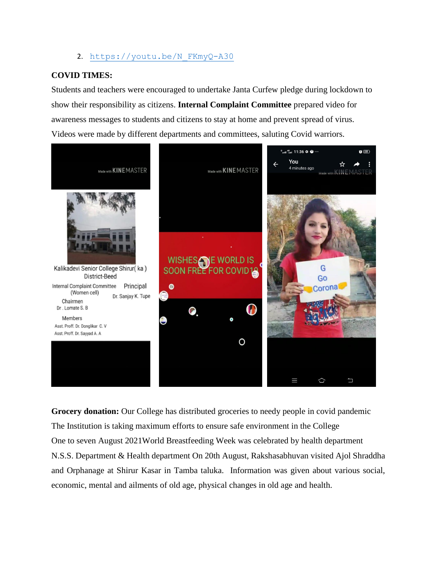2. https://youtu.be/N FKmyQ-A30

## **COVID TIMES:**

Students and teachers were encouraged to undertake Janta Curfew pledge during lockdown to show their responsibility as citizens. **Internal Complaint Committee** prepared video for awareness messages to students and citizens to stay at home and prevent spread of virus. Videos were made by different departments and committees, saluting Covid warriors.



**Grocery donation:** Our College has distributed groceries to needy people in covid pandemic The Institution is taking maximum efforts to ensure safe environment in the College One to seven August 2021World Breastfeeding Week was celebrated by health department N.S.S. Department & Health department On 20th August, Rakshasabhuvan visited Ajol Shraddha and Orphanage at Shirur Kasar in Tamba taluka. Information was given about various social, economic, mental and ailments of old age, physical changes in old age and health.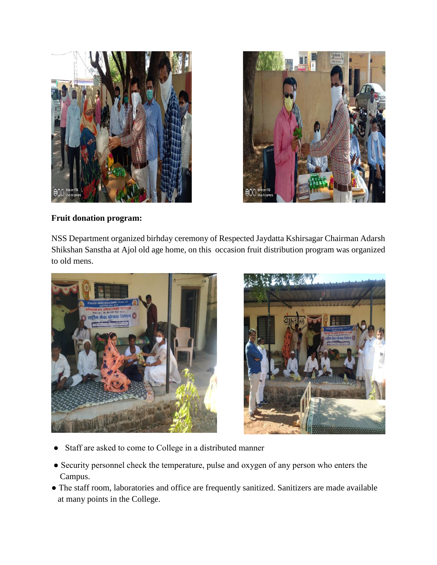



**Fruit donation program:**

NSS Department organized birhday ceremony of Respected Jaydatta Kshirsagar Chairman Adarsh Shikshan Sanstha at Ajol old age home, on this occasion fruit distribution program was organized to old mens.





- Staff are asked to come to College in a distributed manner
- Security personnel check the temperature, pulse and oxygen of any person who enters the Campus.
- The staff room, laboratories and office are frequently sanitized. Sanitizers are made available at many points in the College.